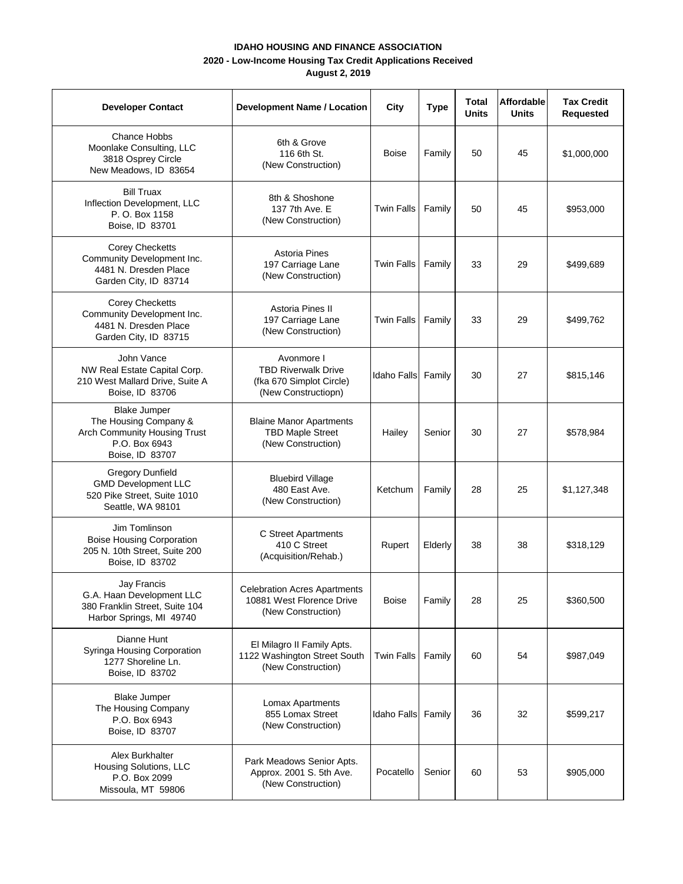## **IDAHO HOUSING AND FINANCE ASSOCIATION**

## **2020 - Low-Income Housing Tax Credit Applications Received**

**August 2, 2019**

| <b>Developer Contact</b>                                                                                         | <b>Development Name / Location</b>                                                          | City               | <b>Type</b> | Total<br>Units | <b>Affordable</b><br>Units | <b>Tax Credit</b><br><b>Requested</b> |
|------------------------------------------------------------------------------------------------------------------|---------------------------------------------------------------------------------------------|--------------------|-------------|----------------|----------------------------|---------------------------------------|
| <b>Chance Hobbs</b><br>Moonlake Consulting, LLC<br>3818 Osprey Circle<br>New Meadows, ID 83654                   | 6th & Grove<br>116 6th St.<br>(New Construction)                                            | Boise              | Family      | 50             | 45                         | \$1,000,000                           |
| <b>Bill Truax</b><br>Inflection Development, LLC<br>P. O. Box 1158<br>Boise, ID 83701                            | 8th & Shoshone<br>137 7th Ave. E<br>(New Construction)                                      | <b>Twin Falls</b>  | Family      | 50             | 45                         | \$953,000                             |
| <b>Corey Checketts</b><br>Community Development Inc.<br>4481 N. Dresden Place<br>Garden City, ID 83714           | Astoria Pines<br>197 Carriage Lane<br>(New Construction)                                    | <b>Twin Falls</b>  | Family      | 33             | 29                         | \$499,689                             |
| <b>Corey Checketts</b><br>Community Development Inc.<br>4481 N. Dresden Place<br>Garden City, ID 83715           | Astoria Pines II<br>197 Carriage Lane<br>(New Construction)                                 | <b>Twin Falls</b>  | Family      | 33             | 29                         | \$499,762                             |
| John Vance<br>NW Real Estate Capital Corp.<br>210 West Mallard Drive, Suite A<br>Boise, ID 83706                 | Avonmore I<br><b>TBD Riverwalk Drive</b><br>(fka 670 Simplot Circle)<br>(New Constructiopn) | Idaho Falls        | Family      | 30             | 27                         | \$815,146                             |
| <b>Blake Jumper</b><br>The Housing Company &<br>Arch Community Housing Trust<br>P.O. Box 6943<br>Boise, ID 83707 | <b>Blaine Manor Apartments</b><br><b>TBD Maple Street</b><br>(New Construction)             | Hailey             | Senior      | 30             | 27                         | \$578,984                             |
| <b>Gregory Dunfield</b><br><b>GMD Development LLC</b><br>520 Pike Street, Suite 1010<br>Seattle, WA 98101        | <b>Bluebird Village</b><br>480 East Ave.<br>(New Construction)                              | Ketchum            | Family      | 28             | 25                         | \$1,127,348                           |
| Jim Tomlinson<br><b>Boise Housing Corporation</b><br>205 N. 10th Street, Suite 200<br>Boise, ID 83702            | C Street Apartments<br>410 C Street<br>(Acquisition/Rehab.)                                 | Rupert             | Elderly     | 38             | 38                         | \$318,129                             |
| Jay Francis<br>G.A. Haan Development LLC<br>380 Franklin Street, Suite 104<br>Harbor Springs, MI 49740           | <b>Celebration Acres Apartments</b><br>10881 West Florence Drive<br>(New Construction)      | Boise              | Family      | 28             | 25                         | \$360,500                             |
| Dianne Hunt<br>Syringa Housing Corporation<br>1277 Shoreline Ln.<br>Boise, ID 83702                              | El Milagro II Family Apts.<br>1122 Washington Street South<br>(New Construction)            | <b>Twin Falls</b>  | Family      | 60             | 54                         | \$987,049                             |
| <b>Blake Jumper</b><br>The Housing Company<br>P.O. Box 6943<br>Boise, ID 83707                                   | Lomax Apartments<br>855 Lomax Street<br>(New Construction)                                  | <b>Idaho Falls</b> | Family      | 36             | 32                         | \$599,217                             |
| Alex Burkhalter<br>Housing Solutions, LLC<br>P.O. Box 2099<br>Missoula, MT 59806                                 | Park Meadows Senior Apts.<br>Approx. 2001 S. 5th Ave.<br>(New Construction)                 | Pocatello          | Senior      | 60             | 53                         | \$905,000                             |